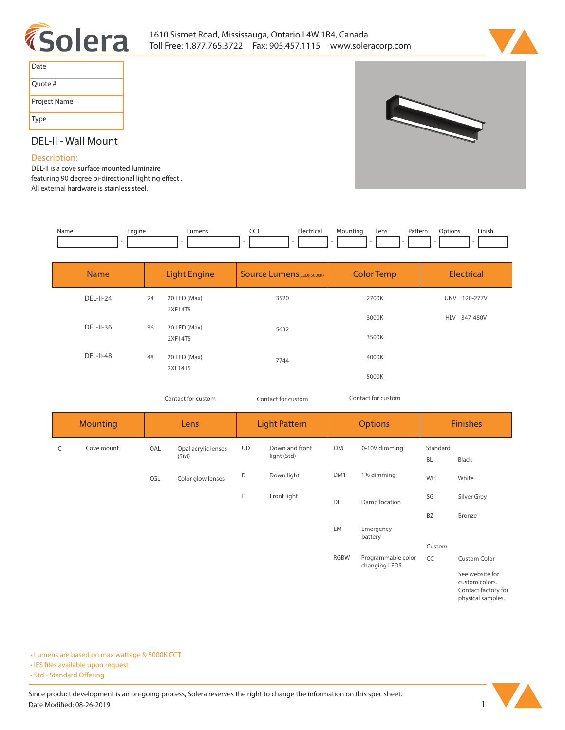



| Date         |
|--------------|
| Quote #      |
| Project Name |
| Type         |

# 

# **DEL-II - Wall Mount**

## **Description:**

**DEL-II is a cove surface mounted luminaire**  featuring 90 degree bi-directional lighting effect. **All external hardware is stainless steel.** 

| Name | Engine | umen: | --- | - ہ<br>$\frac{1}{2} \left( \frac{1}{2} \right) \left( \frac{1}{2} \right) \left( \frac{1}{2} \right)$ | Mountinc | Lens | $D$ nttorr<br>ratter<br>. | )ptions | Finisi. |
|------|--------|-------|-----|-------------------------------------------------------------------------------------------------------|----------|------|---------------------------|---------|---------|
|      |        |       |     |                                                                                                       |          |      |                           |         |         |

| <b>Name</b>      | <b>Light Engine</b> |                         | <b>Source Lumens</b> (LED)(5000K) | <b>Color Temp</b> | <b>Electrical</b> |  |
|------------------|---------------------|-------------------------|-----------------------------------|-------------------|-------------------|--|
| DEL-II-24        | 24                  | 20 LED (Max)<br>2XF14T5 | 3520                              | 2700K             | UNV 120-277V      |  |
| DEL-II-36        | 36                  | 20 LED (Max)            |                                   | 3000K             | HLV 347-480V      |  |
|                  |                     | 2XF14T5                 | 5632                              | 3500K             |                   |  |
| <b>DEL-II-48</b> | 48                  | 20 LED (Max)            | 7744                              | 4000K             |                   |  |
|                  |                     | 2XF14T5                 |                                   | 5000K             |                   |  |

*Contact for custom Contact for custom*

*Contact for custom*

|   | <b>Mounting</b><br>Lens |     | <b>Light Pattern</b>         |           | <b>Options</b>                |             | <b>Finishes</b>                     |                       |                                                         |
|---|-------------------------|-----|------------------------------|-----------|-------------------------------|-------------|-------------------------------------|-----------------------|---------------------------------------------------------|
| C | Cove mount              | OAL | Opal acrylic lenses<br>(Std) | <b>UD</b> | Down and front<br>light (Std) | <b>DM</b>   | 0-10V dimming                       | Standard<br><b>BL</b> | Black                                                   |
|   |                         | CGL | Color glow lenses            | D         | Down light                    | DM1         | 1% dimming                          | WH                    | White                                                   |
|   |                         |     |                              | F         | Front light                   | DL          | Damp location                       | SG                    | Silver Grey                                             |
|   |                         |     |                              |           |                               |             |                                     | <b>BZ</b>             | Bronze                                                  |
|   |                         |     |                              |           |                               | EM          | Emergency<br>battery                |                       |                                                         |
|   |                         |     |                              |           |                               |             |                                     | Custom                |                                                         |
|   |                         |     |                              |           |                               | <b>RGBW</b> | Programmable color<br>changing LEDS | CC                    | Custom Color                                            |
|   |                         |     |                              |           |                               |             |                                     |                       | See website for<br>custom colors.<br>Contact factor for |

**Contact factory for physical samples.** 

**• Lumens are based on max wattage & 5000K CCT**

**• IES files available upon request** 

• Std - Standard Offering

Since product development is an on-going process, Solera reserves the right to change the information on this spec sheet. **Date Modified: 08-26-2019** 1